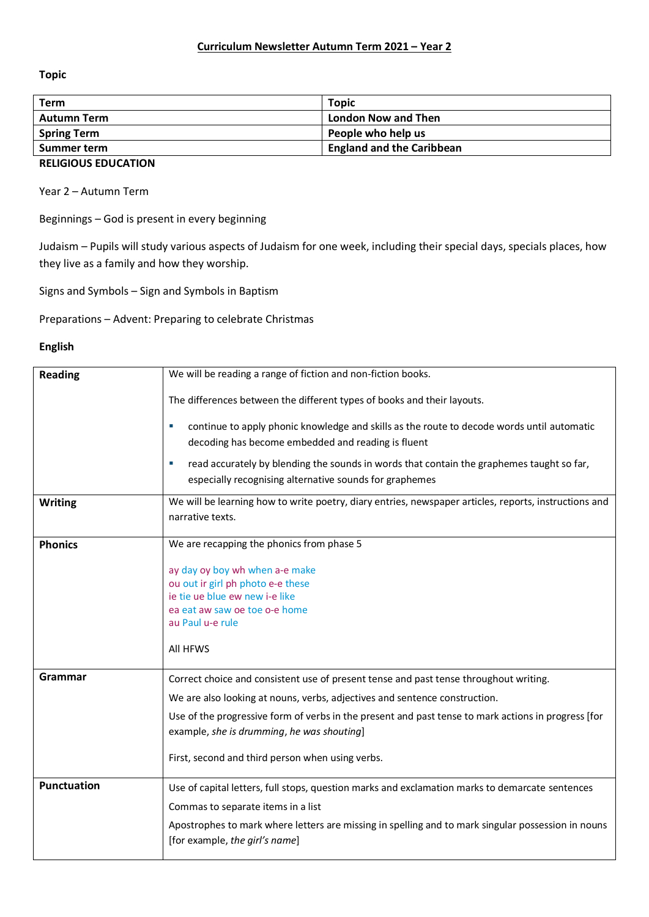**Topic** 

| Term                 | <b>Topic</b>                     |
|----------------------|----------------------------------|
| <b>Autumn Term</b>   | <b>London Now and Then</b>       |
| <b>Spring Term</b>   | People who help us               |
| Summer term          | <b>England and the Caribbean</b> |
| -------------------- |                                  |

## **RELIGIOUS EDUCATION**

Year 2 – Autumn Term

Beginnings – God is present in every beginning

Judaism – Pupils will study various aspects of Judaism for one week, including their special days, specials places, how they live as a family and how they worship.

Signs and Symbols – Sign and Symbols in Baptism

Preparations – Advent: Preparing to celebrate Christmas

### **English**

| <b>Reading</b>     | We will be reading a range of fiction and non-fiction books.                                                                                                           |
|--------------------|------------------------------------------------------------------------------------------------------------------------------------------------------------------------|
|                    | The differences between the different types of books and their layouts.                                                                                                |
|                    | continue to apply phonic knowledge and skills as the route to decode words until automatic<br>×.<br>decoding has become embedded and reading is fluent                 |
|                    | read accurately by blending the sounds in words that contain the graphemes taught so far,<br>especially recognising alternative sounds for graphemes                   |
| <b>Writing</b>     | We will be learning how to write poetry, diary entries, newspaper articles, reports, instructions and<br>narrative texts.                                              |
| <b>Phonics</b>     | We are recapping the phonics from phase 5                                                                                                                              |
|                    | ay day oy boy wh when a-e make<br>ou out ir girl ph photo e-e these<br>ie tie ue blue ew new i-e like<br>ea eat aw saw oe toe o-e home<br>au Paul u-e rule<br>All HFWS |
| <b>Grammar</b>     | Correct choice and consistent use of present tense and past tense throughout writing.                                                                                  |
|                    | We are also looking at nouns, verbs, adjectives and sentence construction.                                                                                             |
|                    | Use of the progressive form of verbs in the present and past tense to mark actions in progress [for<br>example, she is drumming, he was shouting]                      |
|                    | First, second and third person when using verbs.                                                                                                                       |
| <b>Punctuation</b> | Use of capital letters, full stops, question marks and exclamation marks to demarcate sentences                                                                        |
|                    | Commas to separate items in a list                                                                                                                                     |
|                    | Apostrophes to mark where letters are missing in spelling and to mark singular possession in nouns<br>[for example, the girl's name]                                   |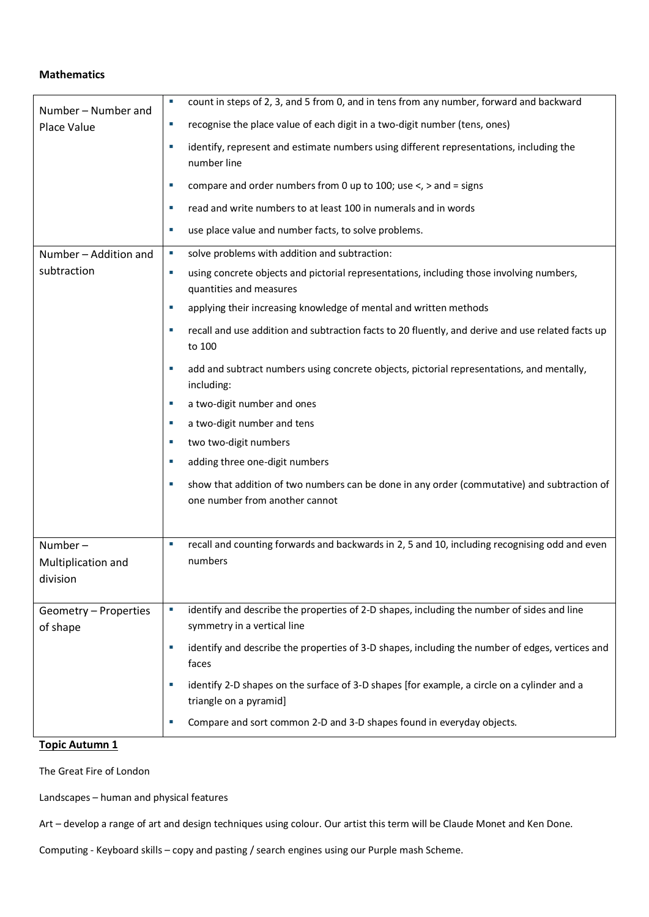### **Mathematics**

| Number - Number and               | ×                           | count in steps of 2, 3, and 5 from 0, and in tens from any number, forward and backward                                       |
|-----------------------------------|-----------------------------|-------------------------------------------------------------------------------------------------------------------------------|
| Place Value                       | ×.                          | recognise the place value of each digit in a two-digit number (tens, ones)                                                    |
|                                   | ×                           | identify, represent and estimate numbers using different representations, including the<br>number line                        |
|                                   | ×.                          | compare and order numbers from 0 up to 100; use $\lt$ , $>$ and = signs                                                       |
|                                   | ×                           | read and write numbers to at least 100 in numerals and in words                                                               |
|                                   | ш                           | use place value and number facts, to solve problems.                                                                          |
| Number - Addition and             | $\blacksquare$              | solve problems with addition and subtraction:                                                                                 |
| subtraction                       | ×.                          | using concrete objects and pictorial representations, including those involving numbers,<br>quantities and measures           |
|                                   | ×.                          | applying their increasing knowledge of mental and written methods                                                             |
|                                   | ×                           | recall and use addition and subtraction facts to 20 fluently, and derive and use related facts up<br>to 100                   |
|                                   |                             | add and subtract numbers using concrete objects, pictorial representations, and mentally,<br>including:                       |
|                                   | u,                          | a two-digit number and ones                                                                                                   |
|                                   | ш                           | a two-digit number and tens                                                                                                   |
|                                   |                             | two two-digit numbers                                                                                                         |
|                                   | ×                           | adding three one-digit numbers                                                                                                |
|                                   | ш                           | show that addition of two numbers can be done in any order (commutative) and subtraction of<br>one number from another cannot |
| Number-                           | ×,                          | recall and counting forwards and backwards in 2, 5 and 10, including recognising odd and even                                 |
| Multiplication and                |                             | numbers                                                                                                                       |
| division                          |                             |                                                                                                                               |
| Geometry - Properties<br>of shape | $\mathcal{L}_{\mathcal{A}}$ | identify and describe the properties of 2-D shapes, including the number of sides and line<br>symmetry in a vertical line     |
|                                   | ×                           | identify and describe the properties of 3-D shapes, including the number of edges, vertices and<br>faces                      |
|                                   |                             | identify 2-D shapes on the surface of 3-D shapes [for example, a circle on a cylinder and a<br>triangle on a pyramid]         |
|                                   |                             | Compare and sort common 2-D and 3-D shapes found in everyday objects.                                                         |

## **Topic Autumn 1**

The Great Fire of London

Landscapes – human and physical features

Art – develop a range of art and design techniques using colour. Our artist this term will be Claude Monet and Ken Done.

Computing - Keyboard skills – copy and pasting / search engines using our Purple mash Scheme.